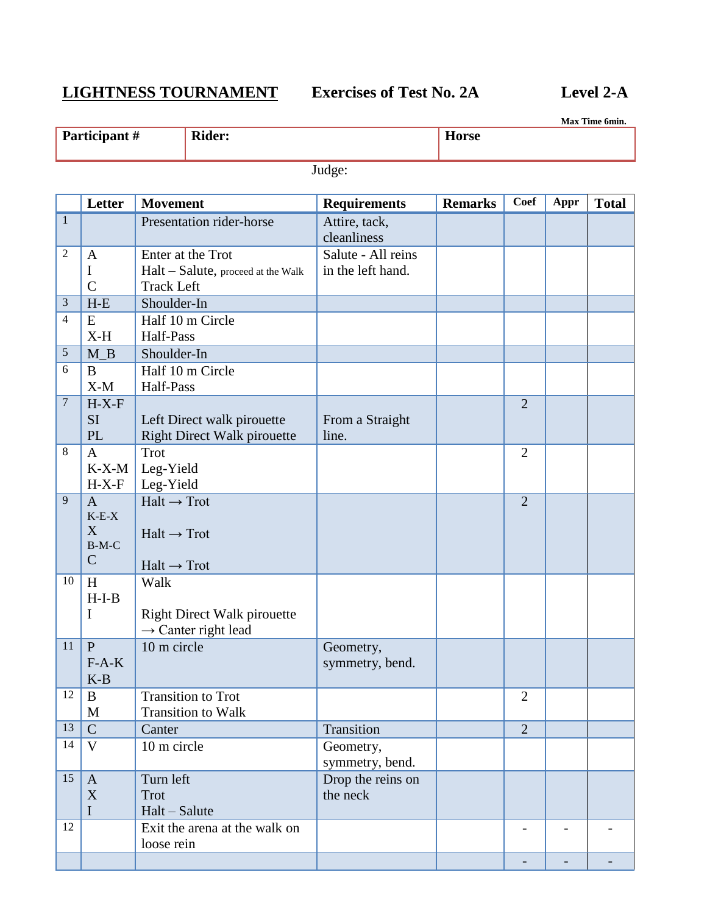## **LIGHTNESS TOURNAMENT Exercises of Test No. 2A Level 2-A**

**Max Time 6min.**

| Participant # | <b>Rider:</b> | $-$<br><b>Horse</b> |
|---------------|---------------|---------------------|
|               |               |                     |

Judge:

|                | Letter         | <b>Movement</b>                    | <b>Requirements</b> | <b>Remarks</b> | <b>Coef</b>    | Appr | <b>Total</b> |
|----------------|----------------|------------------------------------|---------------------|----------------|----------------|------|--------------|
| $\mathbf{1}$   |                | Presentation rider-horse           | Attire, tack,       |                |                |      |              |
|                |                |                                    | cleanliness         |                |                |      |              |
| $\overline{2}$ | $\mathbf{A}$   | Enter at the Trot                  | Salute - All reins  |                |                |      |              |
|                | $\bf{I}$       | Halt - Salute, proceed at the Walk | in the left hand.   |                |                |      |              |
|                | $\overline{C}$ | <b>Track Left</b>                  |                     |                |                |      |              |
| 3              | $H-E$          | Shoulder-In                        |                     |                |                |      |              |
| 4              | E              | Half 10 m Circle                   |                     |                |                |      |              |
|                | $X-H$          | Half-Pass                          |                     |                |                |      |              |
| 5              | $M_B$          | Shoulder-In                        |                     |                |                |      |              |
| 6              | B              | Half 10 m Circle                   |                     |                |                |      |              |
|                | $X-M$          | Half-Pass                          |                     |                |                |      |              |
| 7              | $H-X-F$        |                                    |                     |                | $\overline{2}$ |      |              |
|                | <b>SI</b>      | Left Direct walk pirouette         | From a Straight     |                |                |      |              |
|                | <b>PL</b>      | <b>Right Direct Walk pirouette</b> | line.               |                |                |      |              |
| $\,8\,$        | $\mathbf{A}$   | <b>Trot</b>                        |                     |                | $\overline{2}$ |      |              |
|                | $K-X-M$        | Leg-Yield                          |                     |                |                |      |              |
|                | $H-X-F$        | Leg-Yield                          |                     |                |                |      |              |
| 9              | $\overline{A}$ | $Halt \rightarrow Trot$            |                     |                | $\overline{2}$ |      |              |
|                | $K-E-X$        |                                    |                     |                |                |      |              |
|                | X              | $Half \rightarrow Trot$            |                     |                |                |      |              |
|                | $B-M-C$        |                                    |                     |                |                |      |              |
|                | $\mathsf{C}$   | $Halt \rightarrow Trot$            |                     |                |                |      |              |
| 10             | H              | Walk                               |                     |                |                |      |              |
|                | $H-I-B$        |                                    |                     |                |                |      |              |
|                | I              | <b>Right Direct Walk pirouette</b> |                     |                |                |      |              |
|                |                | $\rightarrow$ Canter right lead    |                     |                |                |      |              |
| 11             | $\mathbf{P}$   | 10 m circle                        | Geometry,           |                |                |      |              |
|                | $F-A-K$        |                                    | symmetry, bend.     |                |                |      |              |
|                | $K-B$          |                                    |                     |                |                |      |              |
| 12             | B              | <b>Transition to Trot</b>          |                     |                | $\overline{2}$ |      |              |
|                | $\mathbf M$    | <b>Transition to Walk</b>          |                     |                |                |      |              |
| 13             | $\mathsf{C}$   | Canter                             | Transition          |                | $\overline{2}$ |      |              |
| 14             | $\mathbf{V}$   | 10 m circle                        | Geometry,           |                |                |      |              |
|                |                |                                    | symmetry, bend.     |                |                |      |              |
| 15             | $\mathbf{A}$   | Turn left                          | Drop the reins on   |                |                |      |              |
|                | $\mathbf X$    | Trot                               | the neck            |                |                |      |              |
|                | $\rm I$        | $Halt - Salute$                    |                     |                |                |      |              |
| 12             |                | Exit the arena at the walk on      |                     |                |                |      |              |
|                |                | loose rein                         |                     |                |                |      |              |
|                |                |                                    |                     |                |                |      |              |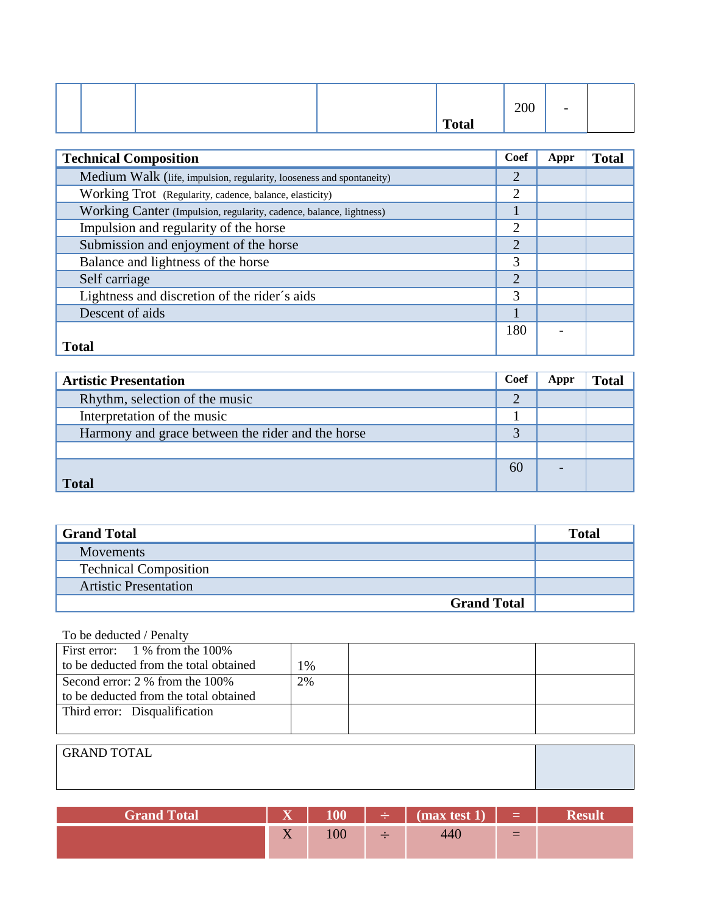|  |  |              | 200 | $\overline{\phantom{0}}$ |  |
|--|--|--------------|-----|--------------------------|--|
|  |  | <b>Total</b> |     |                          |  |

| <b>Technical Composition</b>                                         | Coef           | Appr | <b>Total</b> |
|----------------------------------------------------------------------|----------------|------|--------------|
| Medium Walk (life, impulsion, regularity, looseness and spontaneity) | $\overline{2}$ |      |              |
| Working Trot (Regularity, cadence, balance, elasticity)              | $\overline{2}$ |      |              |
| Working Canter (Impulsion, regularity, cadence, balance, lightness)  |                |      |              |
| Impulsion and regularity of the horse                                | $\overline{2}$ |      |              |
| Submission and enjoyment of the horse                                | $\overline{2}$ |      |              |
| Balance and lightness of the horse                                   | 3              |      |              |
| Self carriage                                                        | $\overline{2}$ |      |              |
| Lightness and discretion of the rider's aids                         | 3              |      |              |
| Descent of aids                                                      |                |      |              |
|                                                                      | 180            |      |              |
| <b>Total</b>                                                         |                |      |              |

| <b>Artistic Presentation</b>                      | <b>Coef</b>    | Appr | <b>Total</b> |
|---------------------------------------------------|----------------|------|--------------|
| Rhythm, selection of the music                    | $\overline{2}$ |      |              |
| Interpretation of the music                       |                |      |              |
| Harmony and grace between the rider and the horse |                |      |              |
|                                                   |                |      |              |
|                                                   | 60             |      |              |
| <b>Total</b>                                      |                |      |              |

| <b>Grand Total</b>           | <b>Total</b> |
|------------------------------|--------------|
| Movements                    |              |
| <b>Technical Composition</b> |              |
| <b>Artistic Presentation</b> |              |
| <b>Grand Total</b>           |              |

### To be deducted / Penalty

| First error: $1\%$ from the 100%       |    |  |  |
|----------------------------------------|----|--|--|
| to be deducted from the total obtained | 1% |  |  |
| Second error: 2 % from the 100%        | 2% |  |  |
| to be deducted from the total obtained |    |  |  |
| Third error: Disqualification          |    |  |  |
|                                        |    |  |  |
|                                        |    |  |  |
| <b>GRAND TOTAL</b>                     |    |  |  |
|                                        |    |  |  |

| <b>Grand Total</b> | $\overline{\mathbf{x}}$ |     | $\div$ (max test 1) | 100 = 100 |  |
|--------------------|-------------------------|-----|---------------------|-----------|--|
|                    | $ -$<br>$\Lambda$       | 100 |                     | $=$       |  |

<u> 1989 - Johann Stoff, deutscher Stoffen und der Stoffen und der Stoffen und der Stoffen und der Stoffen und der</u>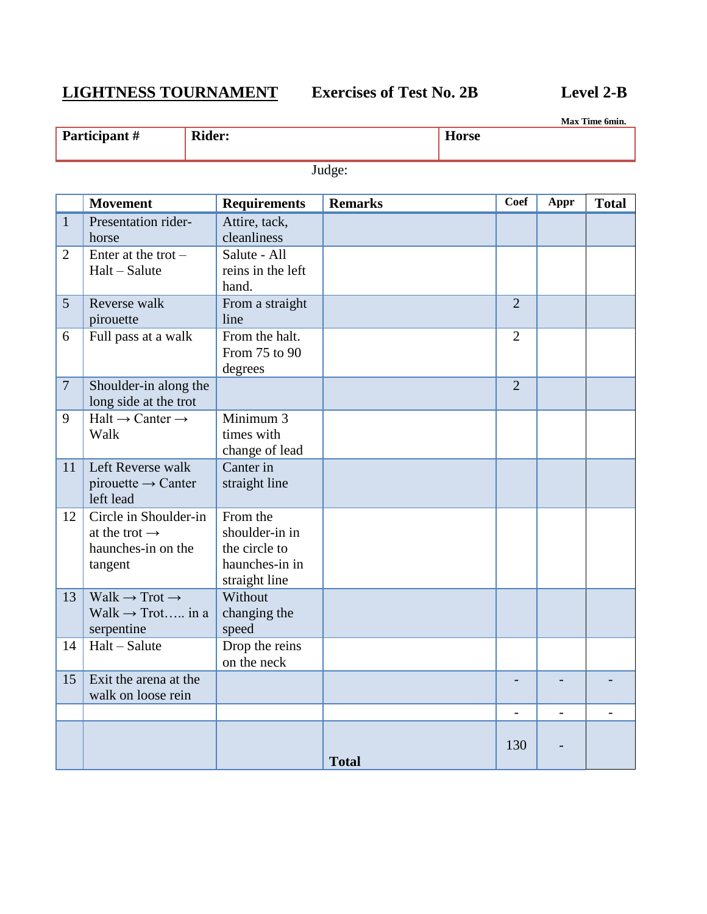# **LIGHTNESS TOURNAMENT Exercises of Test No. 2B Level 2-B**

**Max Time 6min.**

| <b>Participant</b> # | <b>Rider:</b> |        | <b>Horse</b> |  |  |
|----------------------|---------------|--------|--------------|--|--|
|                      |               | Judge: |              |  |  |
|                      |               |        |              |  |  |

|                | <b>Movement</b>                                                                     | <b>Requirements</b>                                                            | <b>Remarks</b> | <b>Coef</b>    | Appr           | <b>Total</b> |
|----------------|-------------------------------------------------------------------------------------|--------------------------------------------------------------------------------|----------------|----------------|----------------|--------------|
| $\mathbf{1}$   | Presentation rider-<br>horse                                                        | Attire, tack,<br>cleanliness                                                   |                |                |                |              |
| $\overline{2}$ | Enter at the trot $-$<br>Halt - Salute                                              | Salute - All<br>reins in the left<br>hand.                                     |                |                |                |              |
| 5              | Reverse walk<br>pirouette                                                           | From a straight<br>line                                                        |                | $\overline{2}$ |                |              |
| 6              | Full pass at a walk                                                                 | From the halt.<br>From 75 to 90<br>degrees                                     |                | $\overline{2}$ |                |              |
| $\overline{7}$ | Shoulder-in along the<br>long side at the trot                                      |                                                                                |                | $\overline{2}$ |                |              |
| 9              | $Halt \rightarrow$ Canter $\rightarrow$<br>Walk                                     | Minimum 3<br>times with<br>change of lead                                      |                |                |                |              |
| 11             | Left Reverse walk<br>pirouette $\rightarrow$ Canter<br>left lead                    | Canter in<br>straight line                                                     |                |                |                |              |
| 12             | Circle in Shoulder-in<br>at the trot $\rightarrow$<br>haunches-in on the<br>tangent | From the<br>shoulder-in in<br>the circle to<br>haunches-in in<br>straight line |                |                |                |              |
| 13             | $Walk \rightarrow Trot \rightarrow$<br>Walk $\rightarrow$ Trot in a<br>serpentine   | Without<br>changing the<br>speed                                               |                |                |                |              |
| 14             | $Halt-Salute$                                                                       | Drop the reins<br>on the neck                                                  |                |                |                |              |
| 15             | Exit the arena at the<br>walk on loose rein                                         |                                                                                |                |                |                |              |
|                |                                                                                     |                                                                                |                | $\overline{a}$ | $\blacksquare$ |              |
|                |                                                                                     |                                                                                | <b>Total</b>   | 130            |                |              |